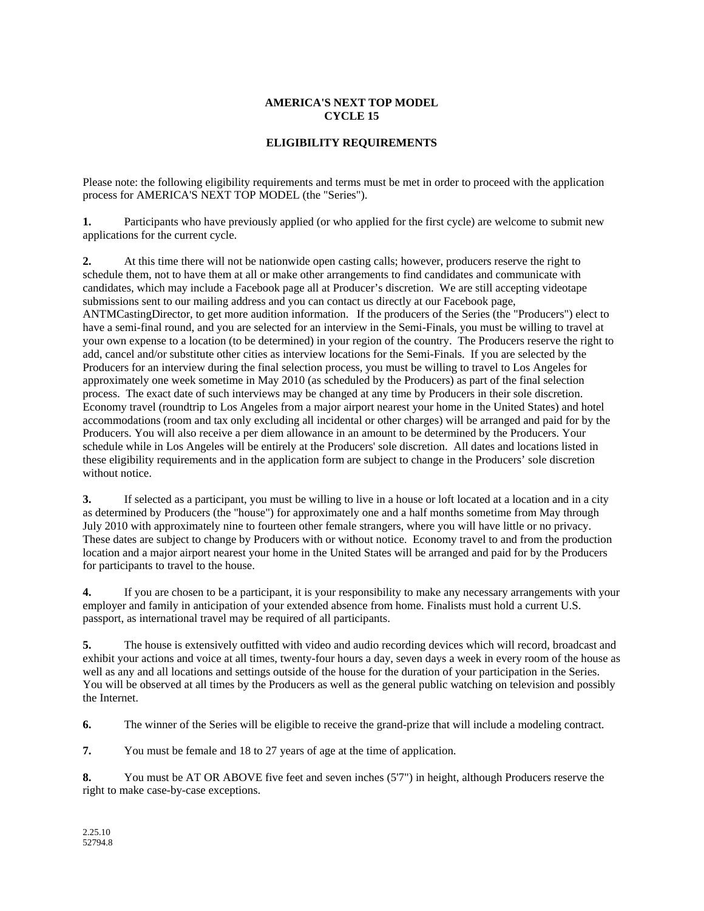## **AMERICA'S NEXT TOP MODEL CYCLE 15**

## **ELIGIBILITY REQUIREMENTS**

Please note: the following eligibility requirements and terms must be met in order to proceed with the application process for AMERICA'S NEXT TOP MODEL (the "Series").

**1.** Participants who have previously applied (or who applied for the first cycle) are welcome to submit new applications for the current cycle.

**2.** At this time there will not be nationwide open casting calls; however, producers reserve the right to schedule them, not to have them at all or make other arrangements to find candidates and communicate with candidates, which may include a Facebook page all at Producer's discretion. We are still accepting videotape submissions sent to our mailing address and you can contact us directly at our Facebook page, ANTMCastingDirector, to get more audition information. If the producers of the Series (the "Producers") elect to have a semi-final round, and you are selected for an interview in the Semi-Finals, you must be willing to travel at your own expense to a location (to be determined) in your region of the country. The Producers reserve the right to add, cancel and/or substitute other cities as interview locations for the Semi-Finals. If you are selected by the Producers for an interview during the final selection process, you must be willing to travel to Los Angeles for approximately one week sometime in May 2010 (as scheduled by the Producers) as part of the final selection process. The exact date of such interviews may be changed at any time by Producers in their sole discretion. Economy travel (roundtrip to Los Angeles from a major airport nearest your home in the United States) and hotel accommodations (room and tax only excluding all incidental or other charges) will be arranged and paid for by the Producers. You will also receive a per diem allowance in an amount to be determined by the Producers. Your schedule while in Los Angeles will be entirely at the Producers' sole discretion. All dates and locations listed in these eligibility requirements and in the application form are subject to change in the Producers' sole discretion without notice.

**3.** If selected as a participant, you must be willing to live in a house or loft located at a location and in a city as determined by Producers (the "house") for approximately one and a half months sometime from May through July 2010 with approximately nine to fourteen other female strangers, where you will have little or no privacy. These dates are subject to change by Producers with or without notice. Economy travel to and from the production location and a major airport nearest your home in the United States will be arranged and paid for by the Producers for participants to travel to the house.

**4.** If you are chosen to be a participant, it is your responsibility to make any necessary arrangements with your employer and family in anticipation of your extended absence from home. Finalists must hold a current U.S. passport, as international travel may be required of all participants.

**5.** The house is extensively outfitted with video and audio recording devices which will record, broadcast and exhibit your actions and voice at all times, twenty-four hours a day, seven days a week in every room of the house as well as any and all locations and settings outside of the house for the duration of your participation in the Series. You will be observed at all times by the Producers as well as the general public watching on television and possibly the Internet.

**6.** The winner of the Series will be eligible to receive the grand-prize that will include a modeling contract.

**7.** You must be female and 18 to 27 years of age at the time of application.

**8.** You must be AT OR ABOVE five feet and seven inches (5'7") in height, although Producers reserve the right to make case-by-case exceptions.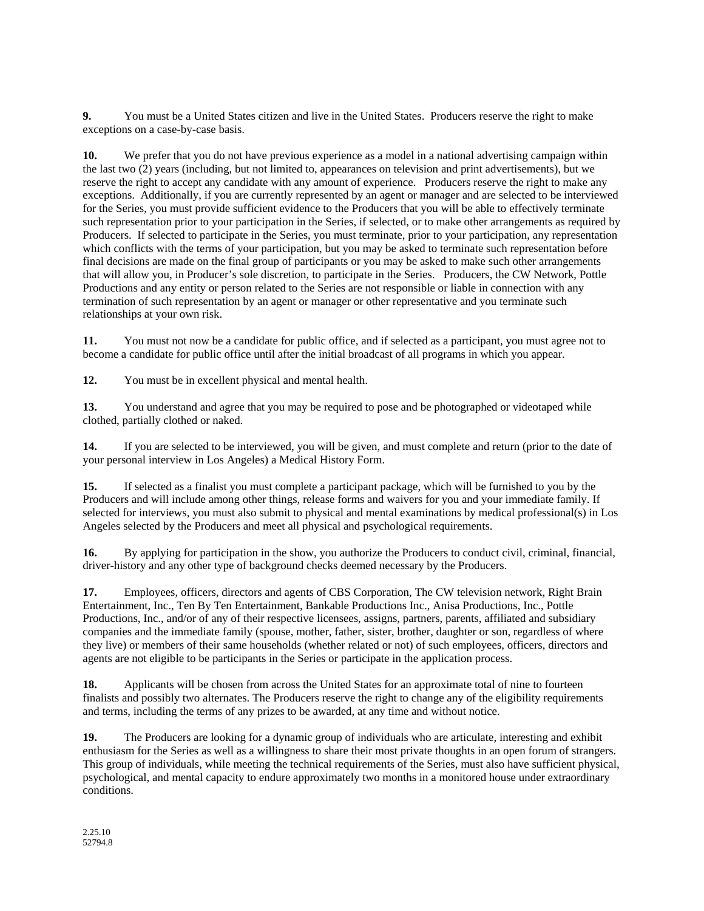**9.** You must be a United States citizen and live in the United States. Producers reserve the right to make exceptions on a case-by-case basis.

**10.** We prefer that you do not have previous experience as a model in a national advertising campaign within the last two (2) years (including, but not limited to, appearances on television and print advertisements), but we reserve the right to accept any candidate with any amount of experience. Producers reserve the right to make any exceptions. Additionally, if you are currently represented by an agent or manager and are selected to be interviewed for the Series, you must provide sufficient evidence to the Producers that you will be able to effectively terminate such representation prior to your participation in the Series, if selected, or to make other arrangements as required by Producers. If selected to participate in the Series, you must terminate, prior to your participation, any representation which conflicts with the terms of your participation, but you may be asked to terminate such representation before final decisions are made on the final group of participants or you may be asked to make such other arrangements that will allow you, in Producer's sole discretion, to participate in the Series. Producers, the CW Network, Pottle Productions and any entity or person related to the Series are not responsible or liable in connection with any termination of such representation by an agent or manager or other representative and you terminate such relationships at your own risk.

**11.** You must not now be a candidate for public office, and if selected as a participant, you must agree not to become a candidate for public office until after the initial broadcast of all programs in which you appear.

**12.** You must be in excellent physical and mental health.

**13.** You understand and agree that you may be required to pose and be photographed or videotaped while clothed, partially clothed or naked.

**14.** If you are selected to be interviewed, you will be given, and must complete and return (prior to the date of your personal interview in Los Angeles) a Medical History Form.

**15.** If selected as a finalist you must complete a participant package, which will be furnished to you by the Producers and will include among other things, release forms and waivers for you and your immediate family. If selected for interviews, you must also submit to physical and mental examinations by medical professional(s) in Los Angeles selected by the Producers and meet all physical and psychological requirements.

**16.** By applying for participation in the show, you authorize the Producers to conduct civil, criminal, financial, driver-history and any other type of background checks deemed necessary by the Producers.

**17.** Employees, officers, directors and agents of CBS Corporation, The CW television network, Right Brain Entertainment, Inc., Ten By Ten Entertainment, Bankable Productions Inc., Anisa Productions, Inc., Pottle Productions, Inc., and/or of any of their respective licensees, assigns, partners, parents, affiliated and subsidiary companies and the immediate family (spouse, mother, father, sister, brother, daughter or son, regardless of where they live) or members of their same households (whether related or not) of such employees, officers, directors and agents are not eligible to be participants in the Series or participate in the application process.

**18.** Applicants will be chosen from across the United States for an approximate total of nine to fourteen finalists and possibly two alternates. The Producers reserve the right to change any of the eligibility requirements and terms, including the terms of any prizes to be awarded, at any time and without notice.

**19.** The Producers are looking for a dynamic group of individuals who are articulate, interesting and exhibit enthusiasm for the Series as well as a willingness to share their most private thoughts in an open forum of strangers. This group of individuals, while meeting the technical requirements of the Series, must also have sufficient physical, psychological, and mental capacity to endure approximately two months in a monitored house under extraordinary conditions.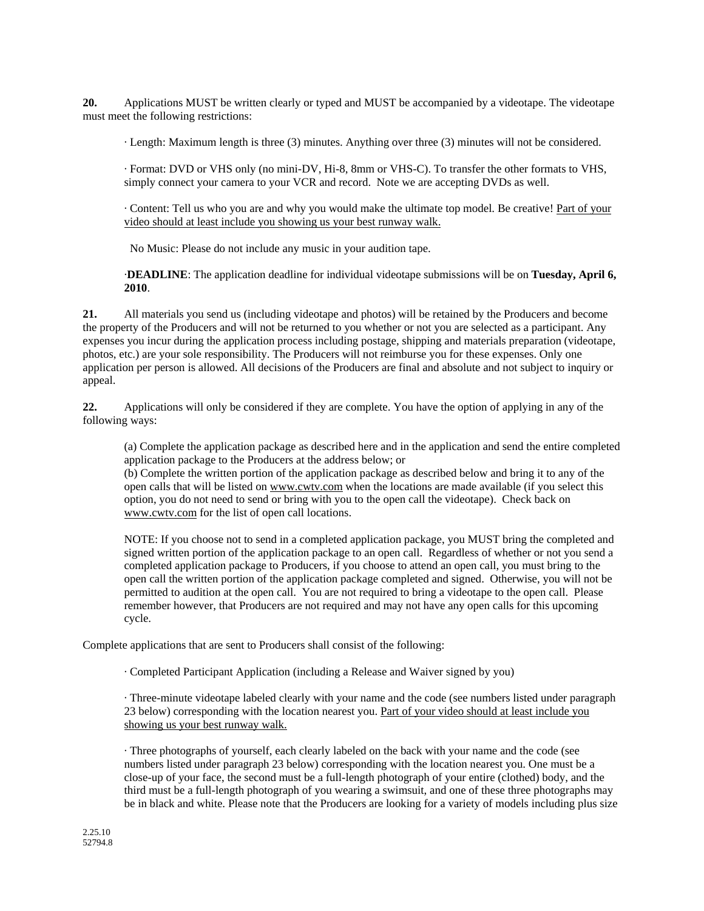**20.** Applications MUST be written clearly or typed and MUST be accompanied by a videotape. The videotape must meet the following restrictions:

· Length: Maximum length is three (3) minutes. Anything over three (3) minutes will not be considered.

· Format: DVD or VHS only (no mini-DV, Hi-8, 8mm or VHS-C). To transfer the other formats to VHS, simply connect your camera to your VCR and record. Note we are accepting DVDs as well.

· Content: Tell us who you are and why you would make the ultimate top model. Be creative! Part of your video should at least include you showing us your best runway walk.

No Music: Please do not include any music in your audition tape.

·**DEADLINE**: The application deadline for individual videotape submissions will be on **Tuesday, April 6, 2010**.

**21.** All materials you send us (including videotape and photos) will be retained by the Producers and become the property of the Producers and will not be returned to you whether or not you are selected as a participant. Any expenses you incur during the application process including postage, shipping and materials preparation (videotape, photos, etc.) are your sole responsibility. The Producers will not reimburse you for these expenses. Only one application per person is allowed. All decisions of the Producers are final and absolute and not subject to inquiry or appeal.

**22.** Applications will only be considered if they are complete. You have the option of applying in any of the following ways:

(a) Complete the application package as described here and in the application and send the entire completed application package to the Producers at the address below; or

(b) Complete the written portion of the application package as described below and bring it to any of the open calls that will be listed on www.cwtv.com when the locations are made available (if you select this option, you do not need to send or bring with you to the open call the videotape). Check back on www.cwtv.com for the list of open call locations.

NOTE: If you choose not to send in a completed application package, you MUST bring the completed and signed written portion of the application package to an open call. Regardless of whether or not you send a completed application package to Producers, if you choose to attend an open call, you must bring to the open call the written portion of the application package completed and signed. Otherwise, you will not be permitted to audition at the open call. You are not required to bring a videotape to the open call. Please remember however, that Producers are not required and may not have any open calls for this upcoming cycle.

Complete applications that are sent to Producers shall consist of the following:

· Completed Participant Application (including a Release and Waiver signed by you)

· Three-minute videotape labeled clearly with your name and the code (see numbers listed under paragraph 23 below) corresponding with the location nearest you. Part of your video should at least include you showing us your best runway walk.

· Three photographs of yourself, each clearly labeled on the back with your name and the code (see numbers listed under paragraph 23 below) corresponding with the location nearest you. One must be a close-up of your face, the second must be a full-length photograph of your entire (clothed) body, and the third must be a full-length photograph of you wearing a swimsuit, and one of these three photographs may be in black and white. Please note that the Producers are looking for a variety of models including plus size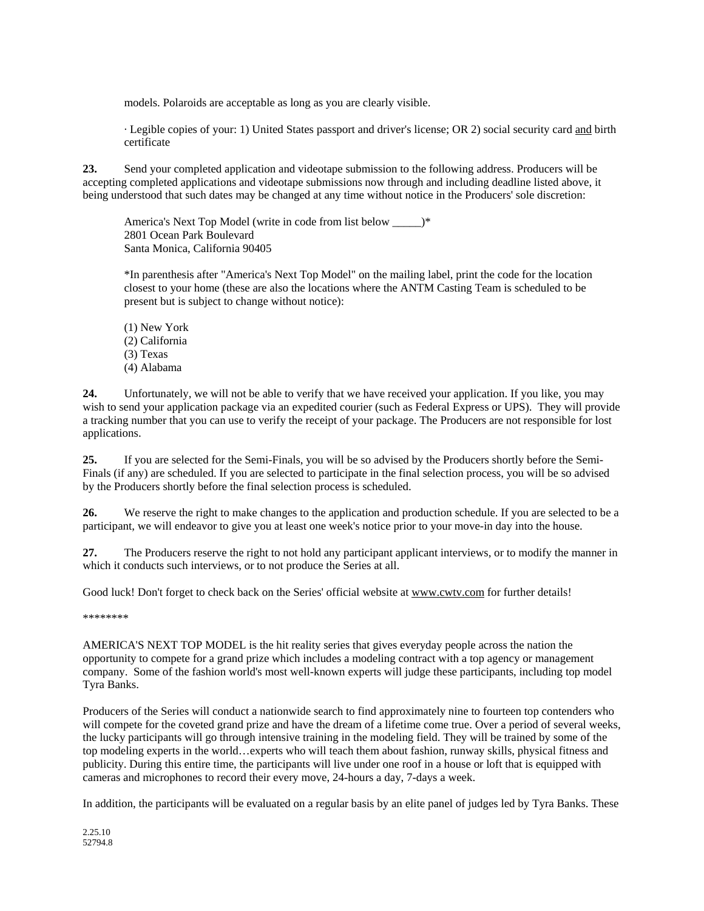models. Polaroids are acceptable as long as you are clearly visible.

· Legible copies of your: 1) United States passport and driver's license; OR 2) social security card and birth certificate

**23.** Send your completed application and videotape submission to the following address. Producers will be accepting completed applications and videotape submissions now through and including deadline listed above, it being understood that such dates may be changed at any time without notice in the Producers' sole discretion:

America's Next Top Model (write in code from list below \_\_\_\_\_)\* 2801 Ocean Park Boulevard Santa Monica, California 90405

\*In parenthesis after "America's Next Top Model" on the mailing label, print the code for the location closest to your home (these are also the locations where the ANTM Casting Team is scheduled to be present but is subject to change without notice):

(1) New York (2) California (3) Texas (4) Alabama

**24.** Unfortunately, we will not be able to verify that we have received your application. If you like, you may wish to send your application package via an expedited courier (such as Federal Express or UPS). They will provide a tracking number that you can use to verify the receipt of your package. The Producers are not responsible for lost applications.

**25.** If you are selected for the Semi-Finals, you will be so advised by the Producers shortly before the Semi-Finals (if any) are scheduled. If you are selected to participate in the final selection process, you will be so advised by the Producers shortly before the final selection process is scheduled.

**26.** We reserve the right to make changes to the application and production schedule. If you are selected to be a participant, we will endeavor to give you at least one week's notice prior to your move-in day into the house.

**27.** The Producers reserve the right to not hold any participant applicant interviews, or to modify the manner in which it conducts such interviews, or to not produce the Series at all.

Good luck! Don't forget to check back on the Series' official website at www.cwtv.com for further details!

\*\*\*\*\*\*\*\*

AMERICA'S NEXT TOP MODEL is the hit reality series that gives everyday people across the nation the opportunity to compete for a grand prize which includes a modeling contract with a top agency or management company. Some of the fashion world's most well-known experts will judge these participants, including top model Tyra Banks.

Producers of the Series will conduct a nationwide search to find approximately nine to fourteen top contenders who will compete for the coveted grand prize and have the dream of a lifetime come true. Over a period of several weeks, the lucky participants will go through intensive training in the modeling field. They will be trained by some of the top modeling experts in the world…experts who will teach them about fashion, runway skills, physical fitness and publicity. During this entire time, the participants will live under one roof in a house or loft that is equipped with cameras and microphones to record their every move, 24-hours a day, 7-days a week.

In addition, the participants will be evaluated on a regular basis by an elite panel of judges led by Tyra Banks. These